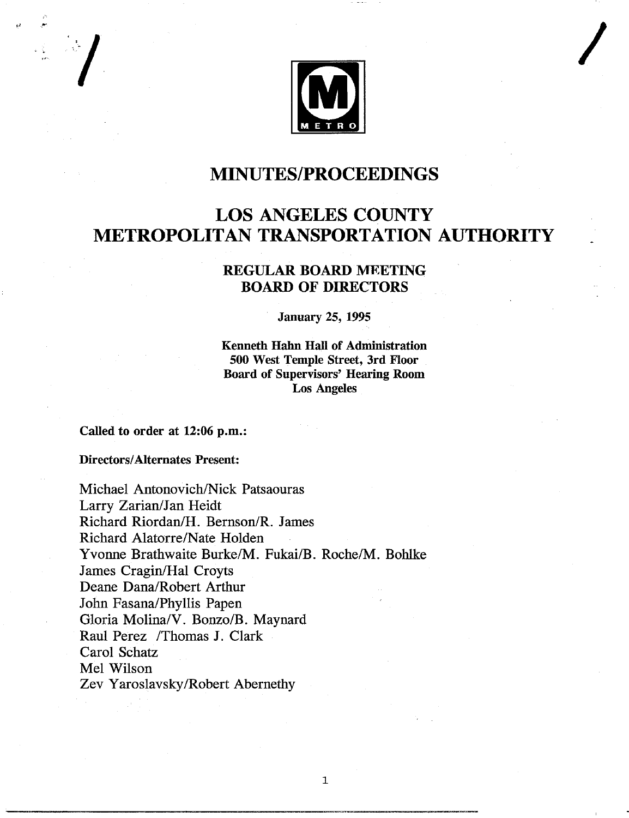

## **MINUTES/PROCEEDINGS**

# **LOS ANGELES COUNTY METROPOLITAN TRANSPORTATION AUTHORITY**

### REGULAR BOARD **MEETING** BOARD OF **DIRECTORS**

**January 25, 1995**

**Kenneth Hahn Hall of Administration 500 West Temple Street, 3rd Floor Board of Supervisors' Hearing Room Los Angeles**

 $\mathbf 1$ 

Called to order at 12:06 p.m.:

**Directors/Alternates** Present:

Michael Antonovich/Nick Patsaouras Larry Zarian/Jan Heidt Richard Riordan/H. Bernson/R. James Richard Alatorre/Nate Holden Yvonne Brathwaite Burke/M. Fukai/B. Roche/M. Bohlke James Cragin/Hal Croyts Deane Dana/Robert Arthur John Fasana/Phyllis Papen Gloria Molina/V. Bonzo/B. Maynard Raul Perez /Thomas J. Clark Carol Schatz Mel Wilson Zev Yaroslavsky/Robert Abernethy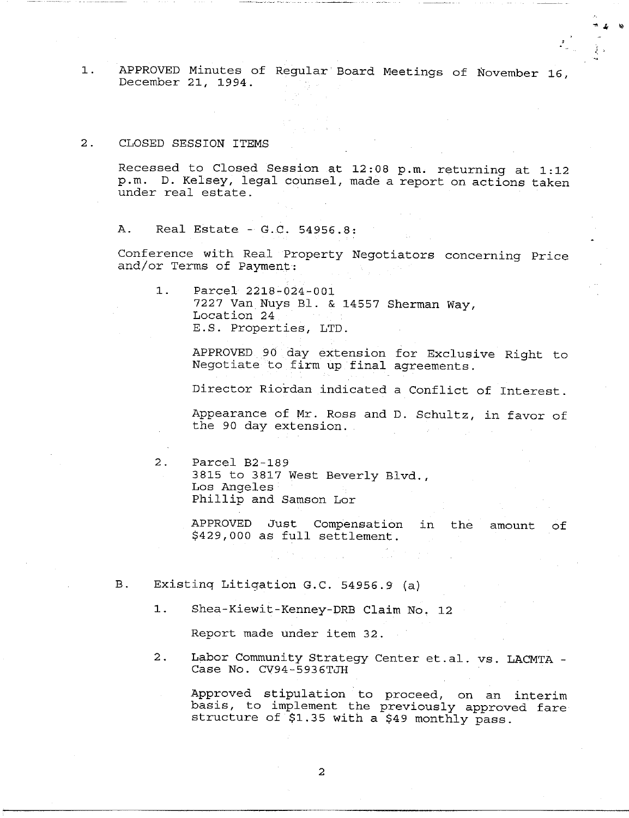APPROVED Minutes of Regular Board Meetings of November 16,  $1$ . December 21, 1994.

2. CLOSED SESSION ITEMS

Recessed to Closed Session at 12:08 p.m. returning at 1:12 p.m. D. Kelsey, legal counsel, made a report on actions taken under real estate.

A. Real Estate - G.C. 54956.8:

Conference with Real Property Negotiators concerning Price and/or Terms of Payment:

 $1.$ Parcel 2218-024-001 7227 Van Nuys BI. & 14557 Sherman Way, Location 24 E.S. Properties, LTD.

> APPROVED 90 day extension for Exclusive Right to Negotiate to firm up final agreements.

> Director Riordan indicated a Conflict of Interest.

Appearance of Mr. Ross and D. Schultz, in favor of the 90 day extension.

2. Parcel B2-189 3815 to 3817 West Beverly Blvd., Los Angeles Phillip and Samson Lor

> APPROVED Just Compensation in the amount of \$429,000 as full settlement.

B. Existing Litigation G.C. 54956.9 (a)

I. Shea-Kiewit-Kenney-DRB Claim No. 12

Report made under item 32.

2. Labor Community Strategy Center et.al, vs. LACMTA - Case No. CV94-5936TJH

Approved stipulation to proceed, on an interim basis, to implement the previously approved fare structure of \$1.35 with a \$49 monthly pass.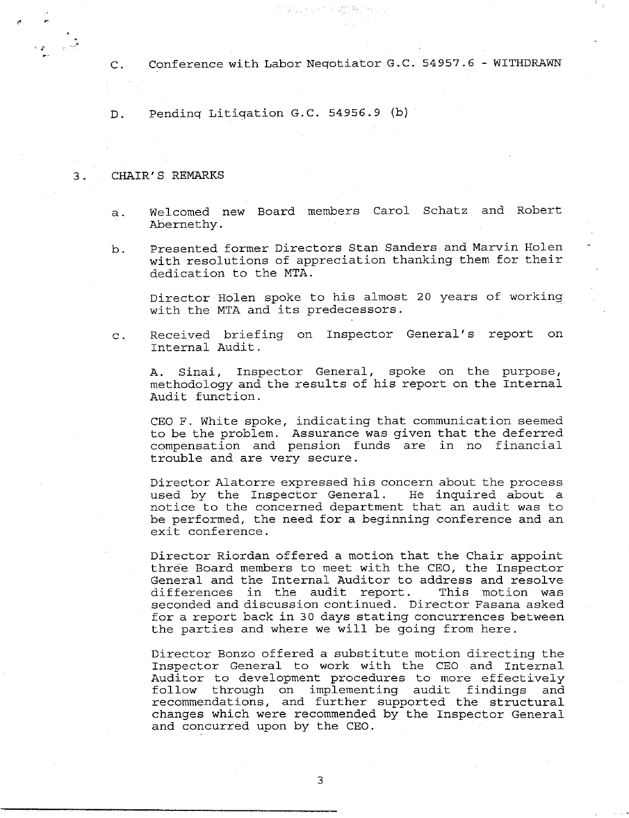C. Conference with Labor Neqotiator G.C. 54957.6 - WITHDRAWN

D. Pendinq Litiqation G.C. 54956.9 (b)

#### **3 . CHAIR' S REMARKS**

- a. Welcomed new Board members Carol Schatz and Robert Abernethy.
- $\mathbf b$ . Presented former Directors Stan Sanders and Marvin Holen with resolutions of appreciation thanking them for their dedication to the MTA.

Director Holen spoke to his almost 20 years of working with the MTA and its predecessors.

Received briefing on Inspector General's report on  $\mathbf{C}$ . Internal Audit.

A. Sinai, Inspector General, spoke on the purpose, methodology and the results of his report on the Internal Audit function.

CEO F. White spoke, indicating that communication seemed to be the problem. Assurance was given that the deferred compensation and pension funds are in no financial trouble and are very secure.

Director Alatorre expressed his concern about the process used by the Inspector General. He inquired about a notice to the concerned department that an audit was to be performed, the need for a beginning conference and an exit conference.

Director Riordan offered a motion that the Chair appoint three Board members to meet with the CEO, the Inspector General and the Internal Auditor to address and resolve differences in the audit report. This motion was seconded and discussion continued. Director Fasana asked for a report back in 30 days stating concurrences between the parties and where we will be going from here.

Director Bonzo offered a substitute motion directing the Inspector General to work with the CEO and Internal Auditor to development procedures to more effectively follow through on implementing audit findings and recommendations, and further supported the structural changes which were recommended by the Inspector General and concurred upon by the CEO.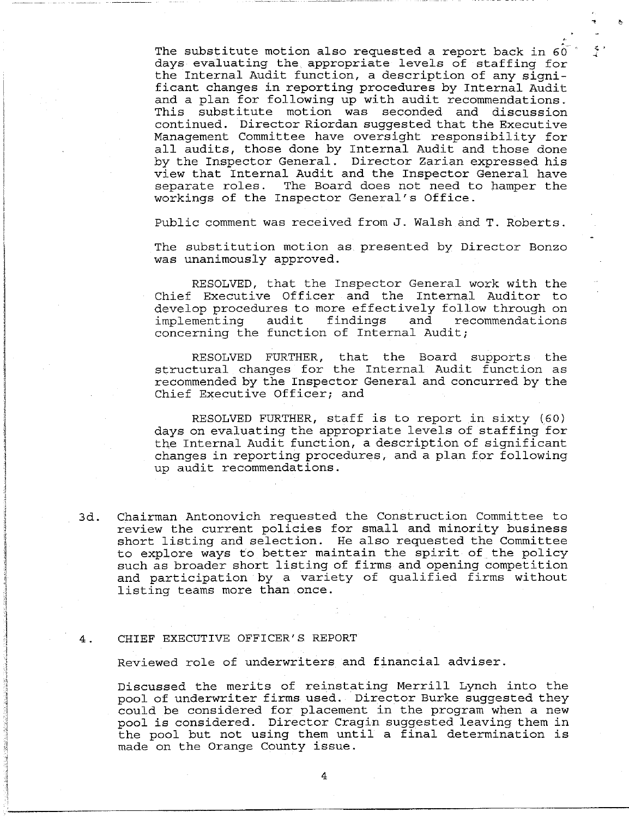The substitute motion also requested a report back in  $60$ days evaluating the appropriate levels of staffing for the Internal Audit function, a description of any significant changes in reporting procedures by Internal Audit and a plan for following up with audit recommendations. This substitute motion was seconded and discussion continued. Director Riordan suggested that the Executive Management Committee have oversight responsibility for all audits, those done by Internal Audit and those done by the Inspector General. Director Zarian expressed his view that Internal Audit and the Inspector General have separate roles. The Board does not need to hamper the workings of the Inspector General's Office.

 $\zeta$  .

Public comment was received from J. Walsh and T. Roberts.

The substitution motion as presented by Director Bonzo was unanimously approved.

RESOLVED, that the Inspector General work with the Chief Executive Officer and the Internal Auditor to develop procedures to more effectively follow through on implementing audit findings and recommendations concerning the function of Internal Audit;

RESOLVED FURTHER, that the Board supports the structural changes for the Internal Audit function as recommended by the Inspector General and concurred by the Chief Executive Officer; and

RESOLVED FURTHER, staff is to report in sixty (60) days on evaluating the appropriate levels of staffing for the Internal Audit function, a description of significant changes in reporting procedures, and a plan for following up audit recommendations.

3d. Chairman Antonovich requested the Construction Committee to review the current policies for small and minority business short listing and selection. He also requested the Committee to explore ways to better maintain the spirit of the policy such as broader short listing of firms and opening competition and participation by a variety of qualified firms without listing teams more than once.

#### 4. CHIEF EXECUTIVE OFFICER'S REPORT

Reviewed role of underwriters and financial adviser.

Discussed the merlts of reinstating Merrill Lynch into the pool of underwriter firms used. Director Burke suggested they could be considered for placement in the program when a new pool is considered. Director Cragin suggested leaving them in the pool but not using them until a final determination is made on the Orange County issue.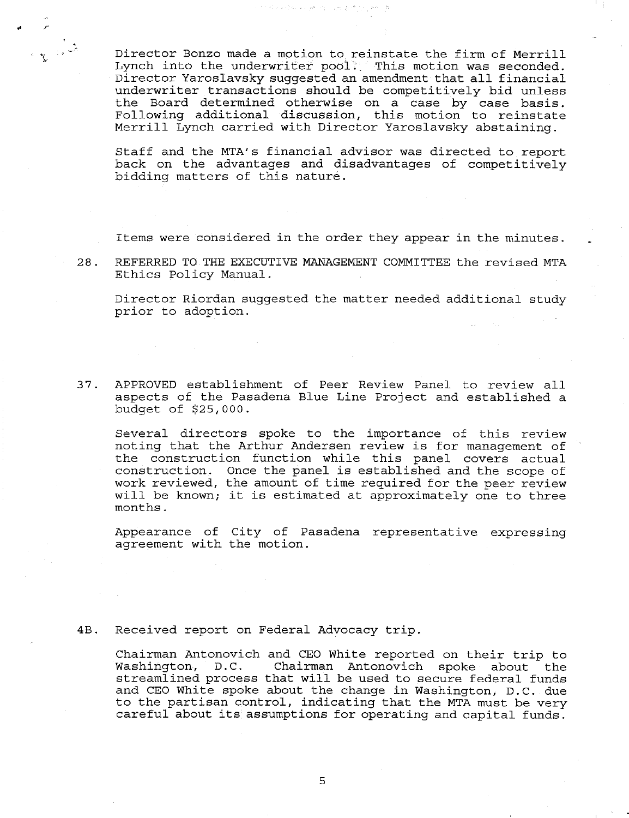Director Bonzo made a motion to reinstate the firm of Merrill Lynch into the underwriter pool. This motion was seconded. Director Yaroslavsky suggested an amendment that all financial underwriter transactions should be competitively bid unless the Board determined otherwise on a case by case basi Following additional discussion, this motion to reinsta Merrill Lynch carried with Director Yaroslavsky abstaining.

法印刷作品 经管理 网络小鼠蜂属 电

Staff and the MTA's financial advisor was directed to report back on the advantages and disadvantages of competitively bidding matters of this nature.

Items were considered in the order they appear in the minutes.

28. REFERRED TO THE EXECUTIVE MANAGEMENT COMMITTEE the revised MTA Ethics Policy Manual.

Director Riordan suggested the matter needed additional study prior to adoption.

37. APPROVED establishment of Peer Review Panel to review all aspects of the Pasadena Blue Line Project and established a budget of \$25,000.

Several directors spoke to the importance of this review noting that the Arthur Andersen review is for management of the construction function while this panel covers actual construction. Once the panel is established and the scope of work reviewed, the amount of time required for the peer review will be known; it is estimated at approximately one to three months.

Appearance of City of Pasadena representative expressing agreement with the motion.

#### 4B. Received report on Federal Advocacy trip.

Chairman Antonovich and CEO White reported on their trip to Washington, D.C. Chairman Antonovich spoke about the streamlined process that will be used to secure federal funds and CEO White spoke about the change in Washington, D.C. due to the partisan control, indicating that the MTA must be very careful about its assumptions for operating and capital funds.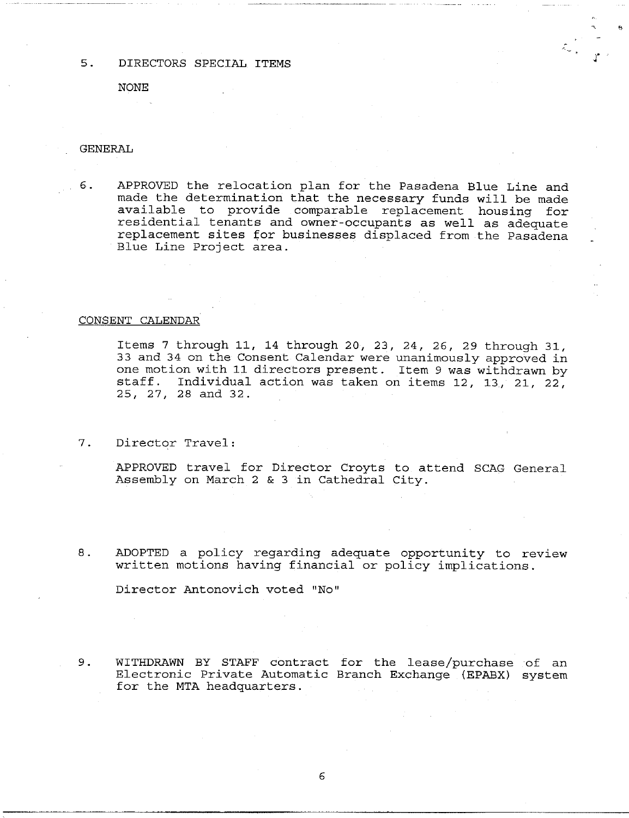5. DIRECTORS SPECIAL ITEMS

**NONE**

#### GENERAL

6. APPROVED the relocation plan for the Pasadena Blue Line and made the determination that the necessary funds will be made available to provide comparable replacement housing for residential tenants and owner-occupants as well as adequate replacement sites for businesses displaced from the Pasadena Blue Line Project area.

#### CONSENT CALENDAR

Items 7 through ii, 14 through 20, 23, 24, 26, 29 through 31, 33 and 34 on the Consent Calendar were unanimously approved in one motion with 11 directors present. Item 9 was withdrawn by staff. Individual action was taken on items 12, 13, 21, 22, 25, 27, 28 and 32.

7. Director Travel:

APPROVED travel for Director Croyts to attend SCAG General Assembly on March 2 & 3 in Cathedral City.

8. ADOPTED a policy regarding adequate opportunity to review written motions having financial or policy implications.

Director Antonovich voted "No"

9. WITHDRAWN BY STAFF contract for the lease/purchase of an Electronic Private Automatic Branch Exchange (EPABX) system for the MTA headquarters.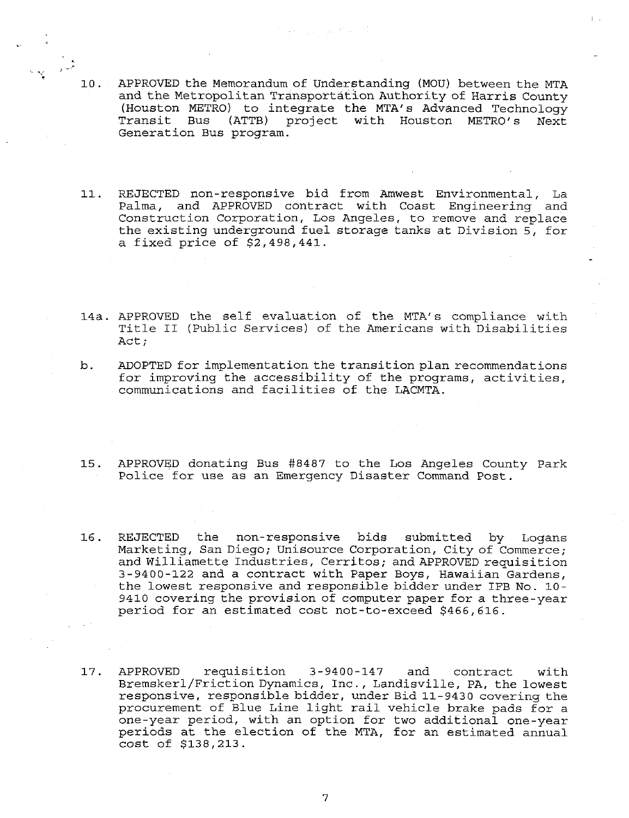- i0. APPROVED the Memorandum of Understanding (MOU) between the MTA and the Metropolitan Transportation Authority of Harris County (Houston METRO) to integrate the MTA's Advanced Technology Transit Bus (ATTB) project with Houston METRO's Next Generation Bus program.
- 11. REJECTED non-responsive bid from Amwest Environmental, La Palma, and APPROVED contract with Coast Engineering and Construction Corporation, Los Angeles, to remove and replace the existing underground fuel storage tanks at Division 5, for a fixed price of \$2,498,441.
- 14a. APPROVED the self evaluation of the MTA's compliance with Title II (Public Services) of the Americans with Disabilities Act;
- b. ADOPTED for implementation the transition plan recommendations for improving the accessibility of the programs, activities, communications and facilities of the LACMTA.
- 15. APPROVED donating Bus #8487 to the Los Angeles County Park Police for use as an Emergency Disaster Command Post.
- 16. REJECTED the non-responsive bids submitted by Logans Marketing, San Diego; Unisource Corporation, City of Commerce; and Williamette Industries, Cerritos; and APPROVED requisition 3-9400-122 and a contract with Paper Boys, Hawaiian Gardens, the lowest responsive and responsible bidder under IFB No. i0- 9410 covering the provision of computer paper for a three-year period for an estimated cost not-to-exceed \$466,616.
- 17. APPROVED requisition 3-9400-147 and contract with Bremskerl/Friction Dynamics, Inc., Landisville, PA, the lowest responsive, responsible bidder, under Bid 11-9430 covering the procurement of Blue Line light rail vehicle brake pads for a one-year period, with an option for two additional one-year periods at the election of the MTA, for an estimated annual cost of \$138,213.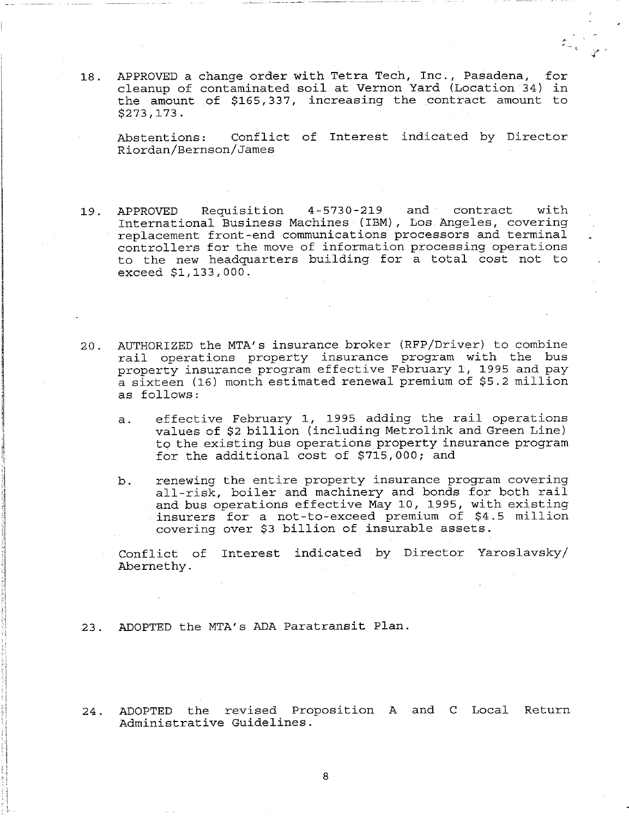18. APPROVED a change order with Tetra Tech, Inc., Pasadena, for cleanup of contaminated soil at Vernon Yard (Location 34) the amount of \$165,337, increasing the contract amount to \$273,173.

Abstentions: Conflict of Interest indicated by Director Riordan/Bernson/James

- 19. APPROVED Requisition 4-5730-219 and contract with International Business Machines (IBM), Los Angeles, covering replacement front-end communications processors and terminal controllers for the move of information processing operations to the new headquarters building for a total cost not to exceed \$1,133,000.
- 20. AUTHORIZED the MTA's insurance broker (RFP/Driver) to combine rail operations property insurance program with the bus property insurance program effective February 1, 1995 and pay a sixteen (16) month estimated renewal premium of \$5.2 million as follows:
	- a. effective February 1, 1995 adding the rail operations values of \$2 billion (including Metrolink and Green Line) to the existing bus operations property insurance program for the additional cost of \$715,000; and
	- b. renewing the entire property insurance program covering all-risk, boiler and machinery and bonds for both rail and bus operations effective May I0, 1995, with existing insurers for a not-to-exceed premium of \$4.5 million covering over \$3 billion of insurable assets.

Conflict of Interest indicated by Director Yaroslavsky/ Abernethy.

- 23. ADOPTED the MTA's ADA Paratransit Plan.
- 24. ADOPTED the revised Proposition A and C Local Return Administrative Guidelines.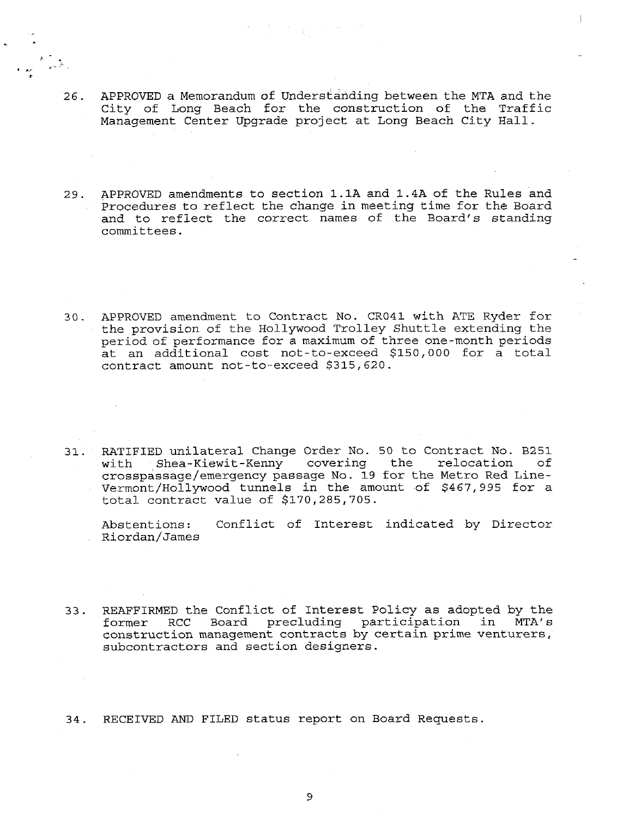- 26. APPROVED a Memorandum of Understanding between the MTA and the City of Long Beach for the construction of the Traffic Management Center Upgrade project at Long Beach City Hall.
- 29. APPROVED amendments to section I.IA and 1.4A of the Rules and Procedures to reflect the change in meeting time for the Board and to reflect the correct names of the Board's standing committees.
- 30. APPROVED amendment to Contract No. CR041 with ATE Ryder for the provision of the Hollywood Trolley Shuttle extending the period of performance for a maximum of three one-month periods at an additional cost not-to-exceed \$150,000 for a total contract amount not-to-exceed \$315,620.
- 31. RATIFIED unilateral Change Order No. 50 to Contract No. B251 Shea-Kiewit-Kenny covering the relocation of crosspassage/emergency passage No. 19 for the Metro Red Line-Vermont/Hollywood tunnels in the amount of \$467,995 for a total contract value of \$170,285,705.

Abstentions: Conflict of Interest indicated by Director Riordan/James

33. REAFFIRMED the Conflict of Interest Policy as adopted by the<br>former RCC Board precluding participation in MTA's Board precluding participation in MTA's construction management contracts by certain prime venturers, subcontractors and section designers.

34. RECEIVED AND FILED status report on Board Requests.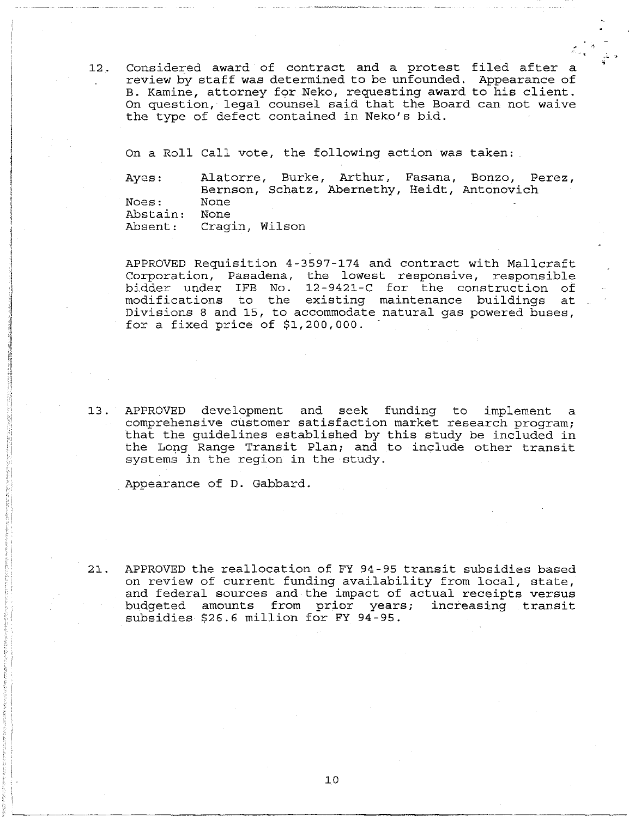12. Considered award of contract and a protest filed after a review by staff was determined to be unfounded. Appearance of B. Kamine, attorney for Neko, requesting award to his client. On question, legal counsel said that the Board can not waive the type of defect contained in Neko's bid.

On a Roll Call vote, the following action was taken:

Ayes: Noes: Abstain: Absent: Alatorre, Burke, Arthur, Fasana, Bonzo, Perez, Bernson, Schatz, Abernethy, Heidt, Antonovich None None Cragin, Wilson

APPROVED Requisition 4-3597-174 and contract with Mallcraft Corporation, Pasadena, the lowest responsive, responsible bidder under IFB No. 12-9421-C for the construction of modifications to the existing maintenance buildings at Divisions 8 and 15, to accommodate natural gas powered buses, for a fixed price of \$1,200,000.

13. APPROVED development and seek funding to implement a comprehensive customer satisfaction market research program; that the guidelines established by this study be included in the Long Range Transit Plan; and to include other transit systems in the region in the study.

Appearance of D. Gabbard.

21. APPROVED the reallocation of FY 94-95 transit subsidies based on review of current funding availability from local, state, and federal sources and the impact of actual receipts versus budgeted amounts from prior years; increasing transit subsidies \$26.6 million for FY 94-95.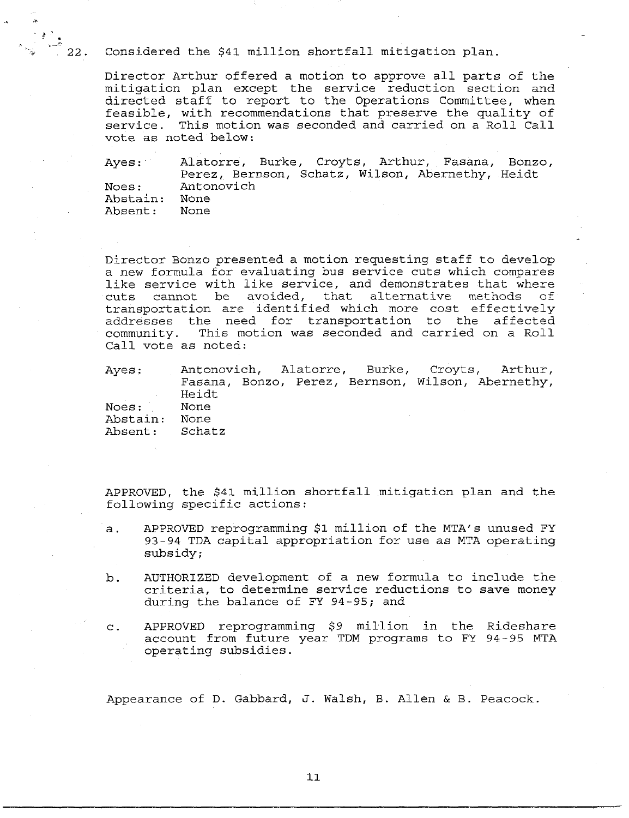Considered the \$41 million shortfall mitigation plan.

 $\begin{array}{c}\n\bullet \\
\bullet \\
\bullet\n\end{array}$ 

Director Arthur offered a motion to approve all parts of the mitigation plan except the service reduction section and directed staff to report to the Operations Committee, when feasible, with recommendations that preserve the quality of service. This motion was seconded and carried on a Roll Call vote as noted below:

Ayes: Noes: Abstain: Absent: Alatorre, Burke, Croyts, Arthur, Fasana, Bonzo, Perez, Bernson, Schatz, Wilson, Abernethy, Heidt Antonovich None None

Director Bonzo presented a motion requesting staff to develop a new formula for evaluating bus service cuts which compares like service with like service, and demonstrates that where<br>cuts cannot be avoided, that alternative methods of cuts cannot be avoided, that transportation are identified which more cost effectively addresses the need for transportation to the affected community. This motion was seconded and carried on a Roll Call vote as noted:

| Ayes:          |       |  |  | Antonovich, Alatorre, Burke, Croyts, Arthur,      |
|----------------|-------|--|--|---------------------------------------------------|
|                |       |  |  | Fasana, Bonzo, Perez, Bernson, Wilson, Abernethy, |
|                | Heidt |  |  |                                                   |
| Noes: None     |       |  |  |                                                   |
| Abstain:       | None  |  |  |                                                   |
| Absent: Schatz |       |  |  |                                                   |

APPROVED, the \$41 million shortfall mitigation plan and the following specific actions:

- APPROVED reprogramming \$i million of the MTA's unused EY a. 93-94 TDA capital appropriation for use as MTA operating subsidy;
- $b$ . AUTHORIZED development of a new formula to include the criteria, to determine service reductions to save money during the balance of FY 94-95; and
- $c$ . APPROVED reprogramming \$9 million in the Rideshare account from future year TDM programs to FY 94-95 MTA operating subsidies.

Appearance of D. Gabbard, J. Walsh, B. Allen & B. Peacock.